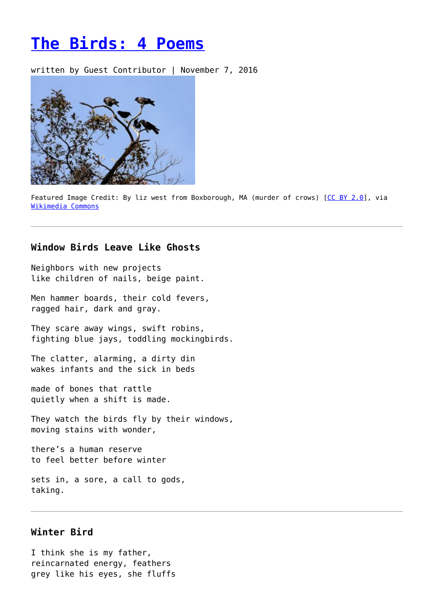# **[The Birds: 4 Poems](https://entropymag.org/the-birds-4-poems/)**

written by Guest Contributor | November 7, 2016



Featured Image Credit: By liz west from Boxborough, MA (murder of crows) [\[CC BY 2.0\]](http://creativecommons.org/licenses/by/2.0), via [Wikimedia Commons](https://commons.wikimedia.org/wiki/File:Murder_of_crows_777.jpg)

# **Window Birds Leave Like Ghosts**

Neighbors with new projects like children of nails, beige paint.

Men hammer boards, their cold fevers, ragged hair, dark and gray.

They scare away wings, swift robins, fighting blue jays, toddling mockingbirds.

The clatter, alarming, a dirty din wakes infants and the sick in beds

made of bones that rattle quietly when a shift is made.

They watch the birds fly by their windows, moving stains with wonder,

there's a human reserve to feel better before winter

sets in, a sore, a call to gods, taking.

### **Winter Bird**

I think she is my father, reincarnated energy, feathers grey like his eyes, she fluffs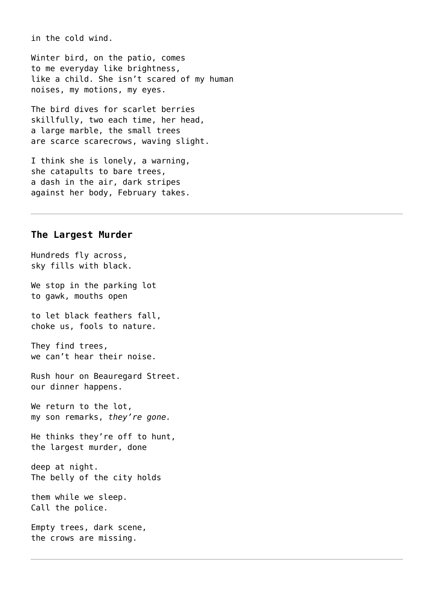in the cold wind.

Winter bird, on the patio, comes to me everyday like brightness, like a child. She isn't scared of my human noises, my motions, my eyes.

The bird dives for scarlet berries skillfully, two each time, her head, a large marble, the small trees are scarce scarecrows, waving slight.

I think she is lonely, a warning, she catapults to bare trees, a dash in the air, dark stripes against her body, February takes.

#### **The Largest Murder**

Hundreds fly across, sky fills with black.

We stop in the parking lot to gawk, mouths open

to let black feathers fall, choke us, fools to nature.

They find trees, we can't hear their noise.

Rush hour on Beauregard Street. our dinner happens.

We return to the lot, my son remarks, *they're gone.*

He thinks they're off to hunt, the largest murder, done

deep at night. The belly of the city holds

them while we sleep. Call the police.

Empty trees, dark scene, the crows are missing.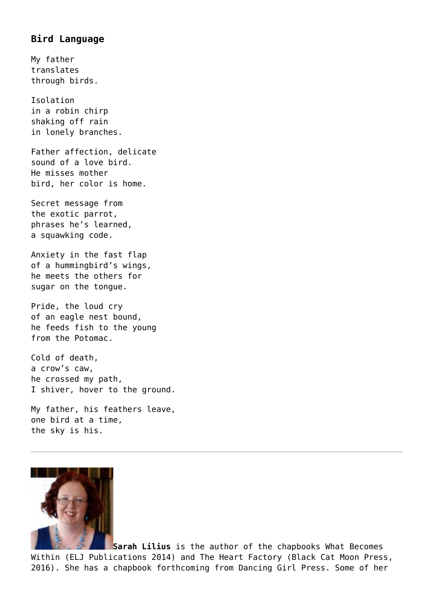# **Bird Language**

My father translates through birds.

Isolation in a robin chirp shaking off rain in lonely branches.

Father affection, delicate sound of a love bird. He misses mother bird, her color is home.

Secret message from the exotic parrot, phrases he's learned, a squawking code.

Anxiety in the fast flap of a hummingbird's wings, he meets the others for sugar on the tongue.

Pride, the loud cry of an eagle nest bound, he feeds fish to the young from the Potomac.

Cold of death, a crow's caw, he crossed my path, I shiver, hover to the ground.

My father, his feathers leave, one bird at a time, the sky is his.



**Sarah Lilius** is the author of the chapbooks What Becomes Within (ELJ Publications 2014) and The Heart Factory (Black Cat Moon Press, 2016). She has a chapbook forthcoming from Dancing Girl Press. Some of her